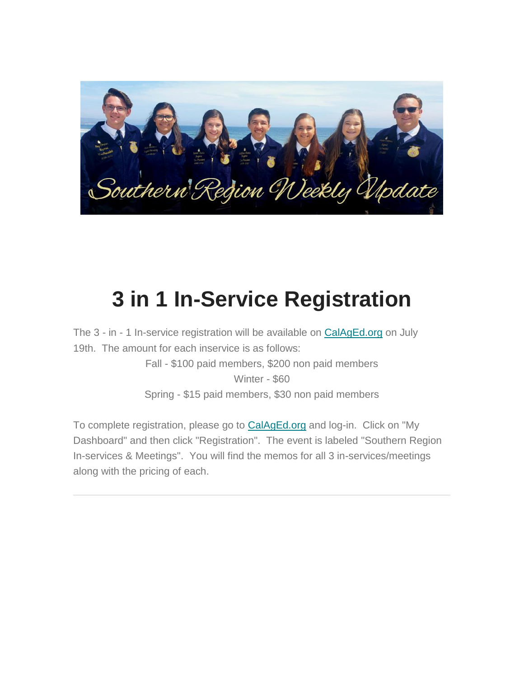

## **3 in 1 In-Service Registration**

The 3 - in - 1 In-service registration will be available on [CalAgEd.org](https://urldefense.proofpoint.com/v2/url?u=http-3A__CalAgEd.org&d=DwQFaQ&c=SIStQSL0VMIUJoLS-Q8giiFlA-AKdP7tpJHyQh8DeXk&r=a4z91iV4-Zdq9NERcieBfJZsuTOVDNJqPVtfbqzhpic&m=C-Jnkz2zSUkVFtBABW-RTakmSYNImes4ihM5cAxhsJw&s=8YCkeuzt0V2a15VgokC_M2NbQn0k2_9v7r167pf8g6c&e=) on July 19th. The amount for each inservice is as follows:

> Fall - \$100 paid members, \$200 non paid members Winter - \$60 Spring - \$15 paid members, \$30 non paid members

To complete registration, please go to [CalAgEd.org](https://urldefense.proofpoint.com/v2/url?u=http-3A__CalAgEd.org&d=DwQFaQ&c=SIStQSL0VMIUJoLS-Q8giiFlA-AKdP7tpJHyQh8DeXk&r=a4z91iV4-Zdq9NERcieBfJZsuTOVDNJqPVtfbqzhpic&m=C-Jnkz2zSUkVFtBABW-RTakmSYNImes4ihM5cAxhsJw&s=8YCkeuzt0V2a15VgokC_M2NbQn0k2_9v7r167pf8g6c&e=) and log-in. Click on "My Dashboard" and then click "Registration". The event is labeled "Southern Region In-services & Meetings". You will find the memos for all 3 in-services/meetings along with the pricing of each.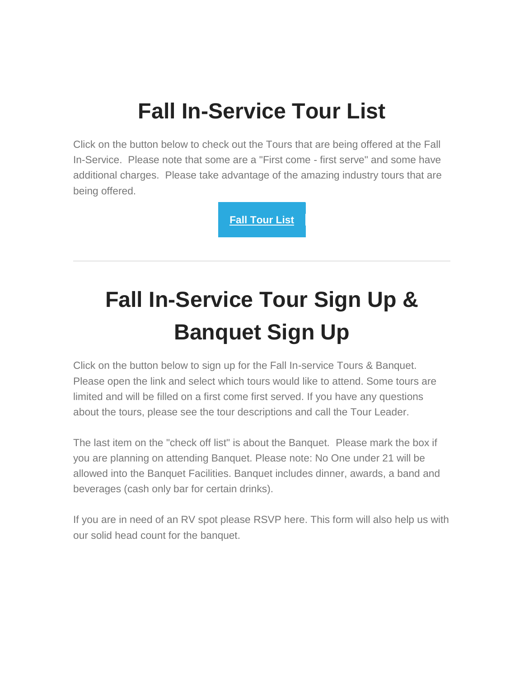### **Fall In-Service Tour List**

Click on the button below to check out the Tours that are being offered at the Fall In-Service. Please note that some are a "First come - first serve" and some have additional charges. Please take advantage of the amazing industry tours that are being offered.

**[Fall Tour List](https://urldefense.proofpoint.com/v2/url?u=https-3A__docs.google.com_document_d_10iwxk91u2sYwuwVymeb17igquQEOLRd-2D-5FMw4jZJ25yw_edit-3Fusp-3Dsharing&d=DwMFaQ&c=SIStQSL0VMIUJoLS-Q8giiFlA-AKdP7tpJHyQh8DeXk&r=a4z91iV4-Zdq9NERcieBfJZsuTOVDNJqPVtfbqzhpic&m=C-Jnkz2zSUkVFtBABW-RTakmSYNImes4ihM5cAxhsJw&s=l0n-evuPcg6LKLkRFzfp7S7xa1hsh8sBwYCGaooSsb4&e=)**

# **Fall In-Service Tour Sign Up & Banquet Sign Up**

Click on the button below to sign up for the Fall In-service Tours & Banquet. Please open the link and select which tours would like to attend. Some tours are limited and will be filled on a first come first served. If you have any questions about the tours, please see the tour descriptions and call the Tour Leader.

The last item on the "check off list" is about the Banquet. Please mark the box if you are planning on attending Banquet. Please note: No One under 21 will be allowed into the Banquet Facilities. Banquet includes dinner, awards, a band and beverages (cash only bar for certain drinks).

If you are in need of an RV spot please RSVP here. This form will also help us with our solid head count for the banquet.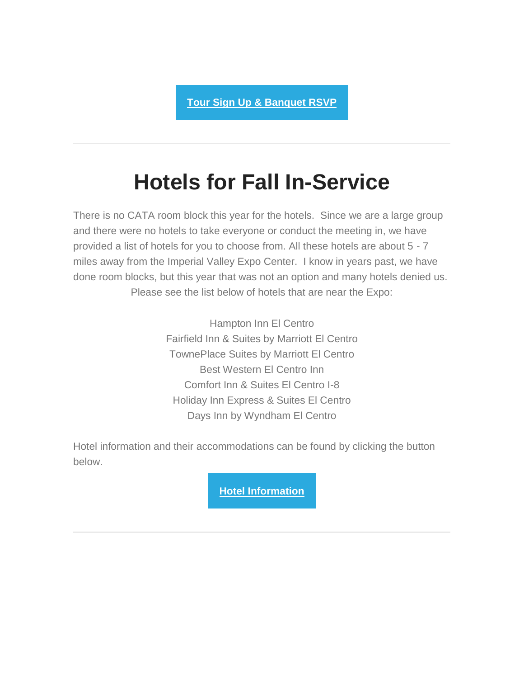### **Hotels for Fall In-Service**

There is no CATA room block this year for the hotels. Since we are a large group and there were no hotels to take everyone or conduct the meeting in, we have provided a list of hotels for you to choose from. All these hotels are about 5 - 7 miles away from the Imperial Valley Expo Center. I know in years past, we have done room blocks, but this year that was not an option and many hotels denied us. Please see the list below of hotels that are near the Expo:

> Hampton Inn El Centro Fairfield Inn & Suites by Marriott El Centro TownePlace Suites by Marriott El Centro Best Western El Centro Inn Comfort Inn & Suites El Centro I-8 Holiday Inn Express & Suites El Centro Days Inn by Wyndham El Centro

Hotel information and their accommodations can be found by clicking the button below.

**[Hotel Information](https://urldefense.proofpoint.com/v2/url?u=https-3A__gallery.mailchimp.com_99b53df7036f58e4b35efe68a_files_09e17cfb-2D41bb-2D4895-2D8c3b-2D6f968352b2a0_Imperial-5FValley-5FTravels-5FPDF.pdf&d=DwMFaQ&c=SIStQSL0VMIUJoLS-Q8giiFlA-AKdP7tpJHyQh8DeXk&r=a4z91iV4-Zdq9NERcieBfJZsuTOVDNJqPVtfbqzhpic&m=C-Jnkz2zSUkVFtBABW-RTakmSYNImes4ihM5cAxhsJw&s=sZ1ZdQKuELvsTSBPaNbqf-5xVuHTw1aN2Ki4ya_r1NQ&e=)**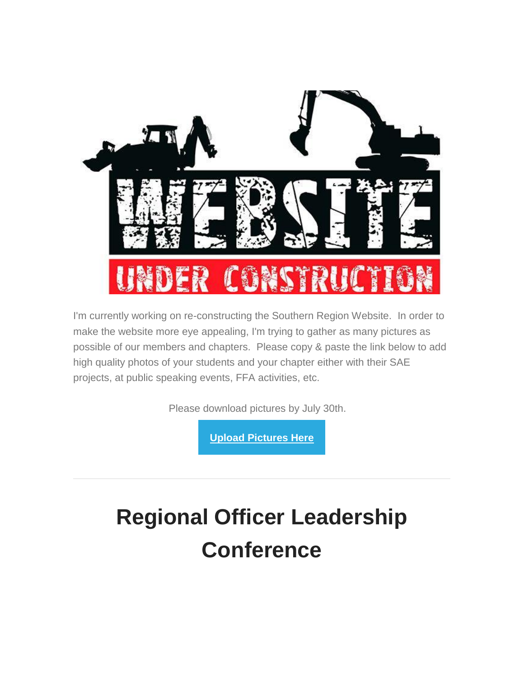

I'm currently working on re-constructing the Southern Region Website. In order to make the website more eye appealing, I'm trying to gather as many pictures as possible of our members and chapters. Please copy & paste the link below to add high quality photos of your students and your chapter either with their SAE projects, at public speaking events, FFA activities, etc.

Please download pictures by July 30th.

**[Upload Pictures Here](https://urldefense.proofpoint.com/v2/url?u=https-3A__drive.google.com_drive_folders_1JtfQ5Mb5eLYfFYHlMUwRShwG4EQ31M1b-3Fusp-3Dsharing&d=DwMFaQ&c=SIStQSL0VMIUJoLS-Q8giiFlA-AKdP7tpJHyQh8DeXk&r=a4z91iV4-Zdq9NERcieBfJZsuTOVDNJqPVtfbqzhpic&m=C-Jnkz2zSUkVFtBABW-RTakmSYNImes4ihM5cAxhsJw&s=SZ8xaENW-6RxLvOVq_u5IUXPs1s-F_WjjoYz7bxI0eY&e=)**

## **Regional Officer Leadership Conference**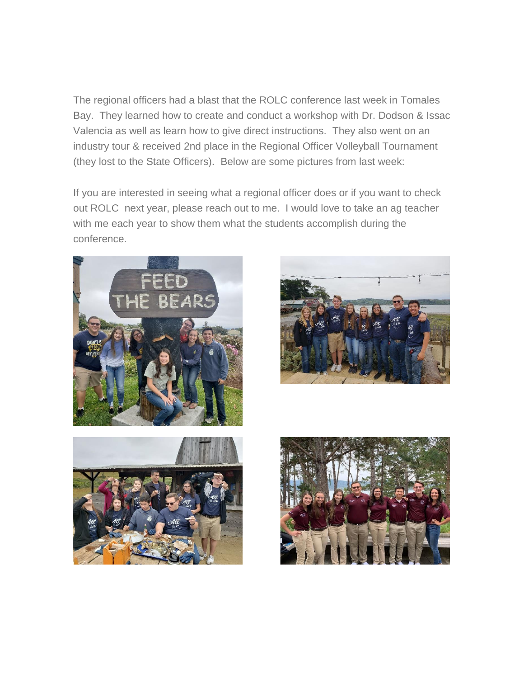The regional officers had a blast that the ROLC conference last week in Tomales Bay. They learned how to create and conduct a workshop with Dr. Dodson & Issac Valencia as well as learn how to give direct instructions. They also went on an industry tour & received 2nd place in the Regional Officer Volleyball Tournament (they lost to the State Officers). Below are some pictures from last week:

If you are interested in seeing what a regional officer does or if you want to check out ROLC next year, please reach out to me. I would love to take an ag teacher with me each year to show them what the students accomplish during the conference.







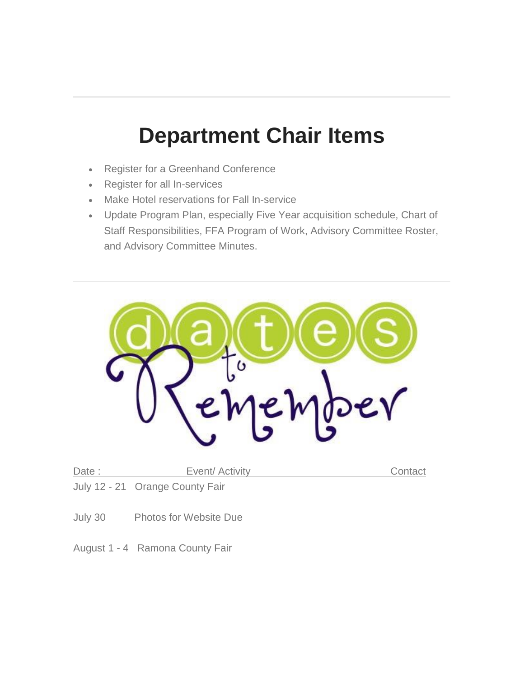#### **Department Chair Items**

- Register for a Greenhand Conference
- Register for all In-services
- Make Hotel reservations for Fall In-service
- Update Program Plan, especially Five Year acquisition schedule, Chart of Staff Responsibilities, FFA Program of Work, Advisory Committee Roster, and Advisory Committee Minutes.



| Date: | Event/ Activity                 | Contact |
|-------|---------------------------------|---------|
|       | July 12 - 21 Orange County Fair |         |

- July 30 Photos for Website Due
- August 1 4 Ramona County Fair